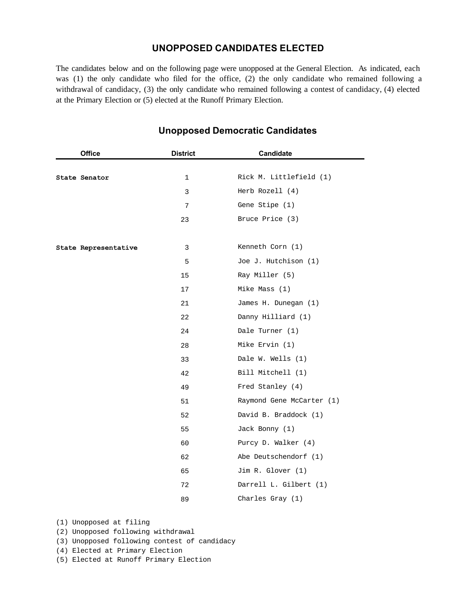## **UNOPPOSED CANDIDATES ELECTED**

The candidates below and on the following page were unopposed at the General Election. As indicated, each was (1) the only candidate who filed for the office, (2) the only candidate who remained following a withdrawal of candidacy, (3) the only candidate who remained following a contest of candidacy, (4) elected at the Primary Election or (5) elected at the Runoff Primary Election.

| <b>Office</b>        | <b>District</b> | <b>Candidate</b>          |
|----------------------|-----------------|---------------------------|
|                      |                 |                           |
| State Senator        | $\mathbf{1}$    | Rick M. Littlefield (1)   |
|                      | 3               | Herb Rozell (4)           |
|                      | 7               | Gene Stipe (1)            |
|                      | 23              | Bruce Price (3)           |
|                      |                 |                           |
| State Representative | 3               | Kenneth Corn (1)          |
|                      | 5               | Joe J. Hutchison (1)      |
|                      | 15              | Ray Miller (5)            |
|                      | 17              | Mike Mass (1)             |
|                      | 21              | James H. Dunegan (1)      |
|                      | 22              | Danny Hilliard (1)        |
|                      | 24              | Dale Turner (1)           |
|                      | 28              | Mike Ervin (1)            |
|                      | 33              | Dale W. Wells (1)         |
|                      | 42              | Bill Mitchell (1)         |
|                      | 49              | Fred Stanley (4)          |
|                      | 51              | Raymond Gene McCarter (1) |
|                      | 52              | David B. Braddock (1)     |
|                      | 55              | Jack Bonny (1)            |
|                      | 60              | Purcy D. Walker (4)       |
|                      | 62              | Abe Deutschendorf (1)     |
|                      | 65              | Jim R. Glover (1)         |
|                      | 72              | Darrell L. Gilbert (1)    |
|                      | 89              | Charles Gray (1)          |

## **Unopposed Democratic Candidates**

- (1) Unopposed at filing
- (2) Unopposed following withdrawal
- (3) Unopposed following contest of candidacy
- (4) Elected at Primary Election
- (5) Elected at Runoff Primary Election